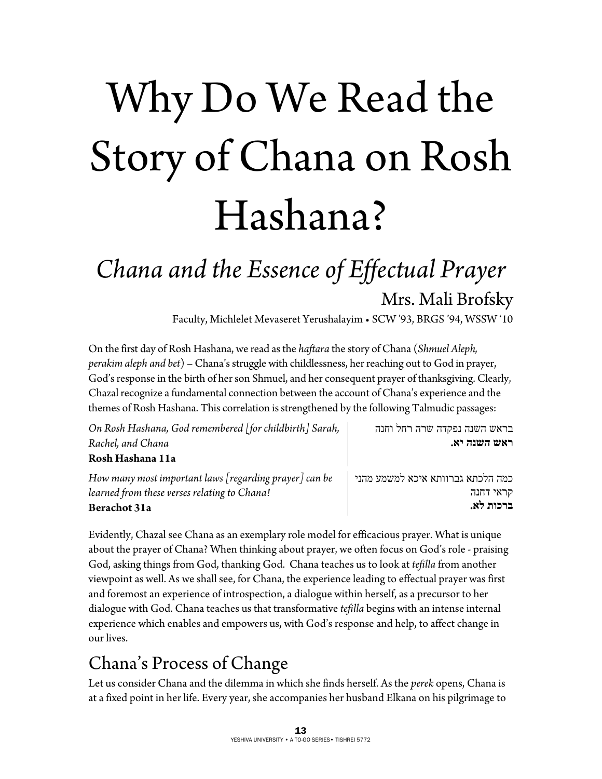# Why Do We Read the Story of Chana on Rosh Hashana?

# *Chana and the Essence of Effectual Prayer*  Mrs. Mali Brofsky

Faculty, Michlelet Mevaseret Yerushalayim • SCW '93, BRGS '94, WSSW '10

On the first day of Rosh Hashana, we read as the *haftara* the story of Chana (*Shmuel Aleph, perakim aleph and bet*) – Chana's struggle with childlessness, her reaching out to God in prayer, God's response in the birth of her son Shmuel, and her consequent prayer of thanksgiving. Clearly, Chazal recognize a fundamental connection between the account of Chana's experience and the themes of Rosh Hashana. This correlation is strengthened by the following Talmudic passages:

| On Rosh Hashana, God remembered [for childbirth] Sarah,    | בראש השנה נפקדה שרה רחל וחנה      |
|------------------------------------------------------------|-----------------------------------|
| Rachel, and Chana                                          | ראש השנה יא.                      |
| Rosh Hashana 11a                                           |                                   |
| How many most important laws $[regular]$ prayer $]$ can be | כמה הלכתא גברוותא איכא למשמע מהני |
| learned from these verses relating to Chana!               | קראי דחנה                         |
| Berachot 31a                                               | ברכות לא.                         |

Evidently, Chazal see Chana as an exemplary role model for efficacious prayer. What is unique about the prayer of Chana? When thinking about prayer, we often focus on God's role - praising God, asking things from God, thanking God. Chana teaches us to look at *tefilla* from another viewpoint as well. As we shall see, for Chana, the experience leading to effectual prayer was first and foremost an experience of introspection, a dialogue within herself, as a precursor to her dialogue with God. Chana teaches us that transformative *tefilla* begins with an intense internal experience which enables and empowers us, with God's response and help, to affect change in our lives.

# Chana's Process of Change

Let us consider Chana and the dilemma in which she finds herself. As the *perek* opens, Chana is at a fixed point in her life. Every year, she accompanies her husband Elkana on his pilgrimage to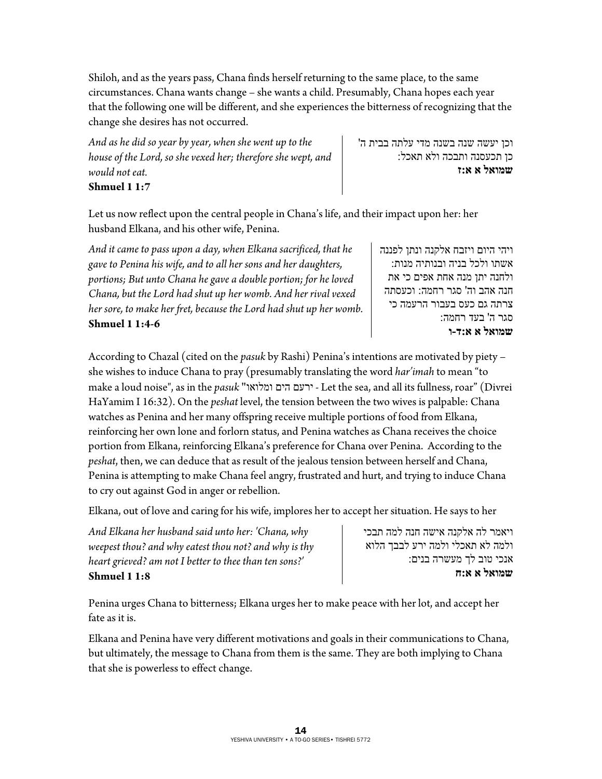Shiloh, and as the years pass, Chana finds herself returning to the same place, to the same circumstances. Chana wants change – she wants a child. Presumably, Chana hopes each year that the following one will be different, and she experiences the bitterness of recognizing that the change she desires has not occurred.

*And as he did so year by year, when she went up to the house of the Lord, so she vexed her; therefore she wept, and would not eat.*  **Shmuel 1 1:7** 

וכן יעשה שנה בשנה מדי עלתה בבית ה ' כן תכעסנה ותבכה ולא תאכל: **שמואל א א:ז** 

Let us now reflect upon the central people in Chana's life, and their impact upon her: her husband Elkana, and his other wife, Penina.

*And it came to pass upon a day, when Elkana sacrificed, that he gave to Penina his wife, and to all her sons and her daughters, portions; But unto Chana he gave a double portion; for he loved Chana, but the Lord had shut up her womb. And her rival vexed her sore, to make her fret, because the Lord had shut up her womb.*  **Shmuel 1 1:4-6**

ויהי היום ויזבח אלקנה ונתן לפננה אשתו ולכל בניה ובנותיה מנות : ולחנה יתן מנה אחת אפים כי את חנה אהב הו ' סגר רחמה : וכעסתה צרתה גם כעס בעבור הרעמה כי סגר ה' בעד רחמה: **שמואל א א:ד-ו** 

According to Chazal (cited on the *pasuk* by Rashi) Penina's intentions are motivated by piety – she wishes to induce Chana to pray (presumably translating the word *har'imah* to mean "to make a loud noise", as in the *pasuk* "ומלואו הים ירעם - Let the sea, and all its fullness, roar" (Divrei HaYamim I 16:32). On the *peshat* level, the tension between the two wives is palpable: Chana watches as Penina and her many offspring receive multiple portions of food from Elkana, reinforcing her own lone and forlorn status, and Penina watches as Chana receives the choice portion from Elkana, reinforcing Elkana's preference for Chana over Penina. According to the *peshat*, then, we can deduce that as result of the jealous tension between herself and Chana, Penina is attempting to make Chana feel angry, frustrated and hurt, and trying to induce Chana to cry out against God in anger or rebellion.

Elkana, out of love and caring for his wife, implores her to accept her situation. He says to her

*And Elkana her husband said unto her: 'Chana, why weepest thou? and why eatest thou not? and why is thy heart grieved? am not I better to thee than ten sons?'*  **Shmuel 1 1:8**

ויאמר לה אלקנה אישה חנה למה תבכי ולמה לא תאכלי ולמה ירע לבבך הלוא אנכי טוב לך מעשרה בנים: **שמואל א א:ח**

Penina urges Chana to bitterness; Elkana urges her to make peace with her lot, and accept her fate as it is.

Elkana and Penina have very different motivations and goals in their communications to Chana, but ultimately, the message to Chana from them is the same. They are both implying to Chana that she is powerless to effect change.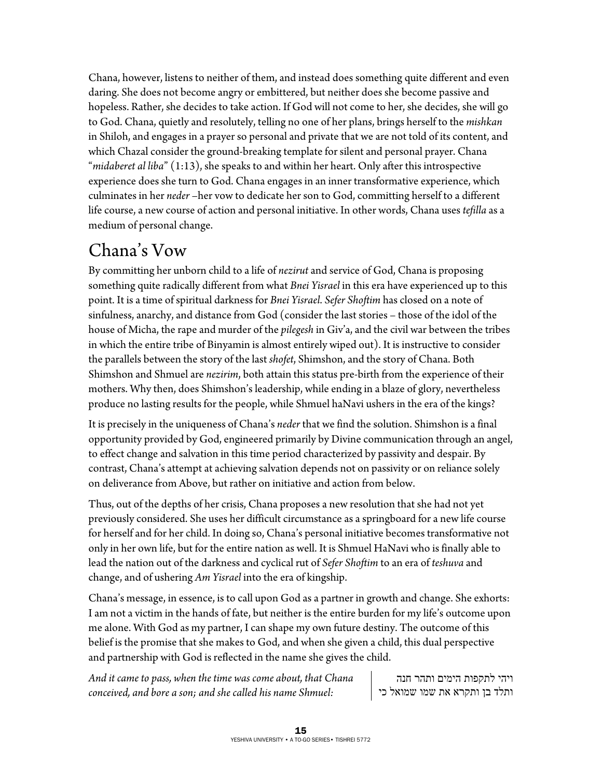Chana, however, listens to neither of them, and instead does something quite different and even daring. She does not become angry or embittered, but neither does she become passive and hopeless. Rather, she decides to take action. If God will not come to her, she decides, she will go to God. Chana, quietly and resolutely, telling no one of her plans, brings herself to the *mishkan* in Shiloh, and engages in a prayer so personal and private that we are not told of its content, and which Chazal consider the ground-breaking template for silent and personal prayer. Chana "*midaberet al liba*" (1:13), she speaks to and within her heart. Only after this introspective experience does she turn to God. Chana engages in an inner transformative experience, which culminates in her *neder* –her vow to dedicate her son to God, committing herself to a different life course, a new course of action and personal initiative. In other words, Chana uses *tefilla* as a medium of personal change.

#### Chana's Vow

By committing her unborn child to a life of *nezirut* and service of God, Chana is proposing something quite radically different from what *Bnei Yisrael* in this era have experienced up to this point. It is a time of spiritual darkness for *Bnei Yisrael*. *Sefer Shoftim* has closed on a note of sinfulness, anarchy, and distance from God (consider the last stories – those of the idol of the house of Micha, the rape and murder of the *pilegesh* in Giv'a, and the civil war between the tribes in which the entire tribe of Binyamin is almost entirely wiped out). It is instructive to consider the parallels between the story of the last *shofet*, Shimshon, and the story of Chana. Both Shimshon and Shmuel are *nezirim*, both attain this status pre-birth from the experience of their mothers. Why then, does Shimshon's leadership, while ending in a blaze of glory, nevertheless produce no lasting results for the people, while Shmuel haNavi ushers in the era of the kings?

It is precisely in the uniqueness of Chana's *neder* that we find the solution. Shimshon is a final opportunity provided by God, engineered primarily by Divine communication through an angel, to effect change and salvation in this time period characterized by passivity and despair. By contrast, Chana's attempt at achieving salvation depends not on passivity or on reliance solely on deliverance from Above, but rather on initiative and action from below.

Thus, out of the depths of her crisis, Chana proposes a new resolution that she had not yet previously considered. She uses her difficult circumstance as a springboard for a new life course for herself and for her child. In doing so, Chana's personal initiative becomes transformative not only in her own life, but for the entire nation as well. It is Shmuel HaNavi who is finally able to lead the nation out of the darkness and cyclical rut of *Sefer Shoftim* to an era of *teshuva* and change, and of ushering *Am Yisrael* into the era of kingship.

Chana's message, in essence, is to call upon God as a partner in growth and change. She exhorts: I am not a victim in the hands of fate, but neither is the entire burden for my life's outcome upon me alone. With God as my partner, I can shape my own future destiny. The outcome of this belief is the promise that she makes to God, and when she given a child, this dual perspective and partnership with God is reflected in the name she gives the child.

*And it came to pass, when the time was come about, that Chana conceived, and bore a son; and she called his name Shmuel:* 

ויהי לתקפות הימים ותהר חנה ותלד בן ותקרא את שמו שמואל כי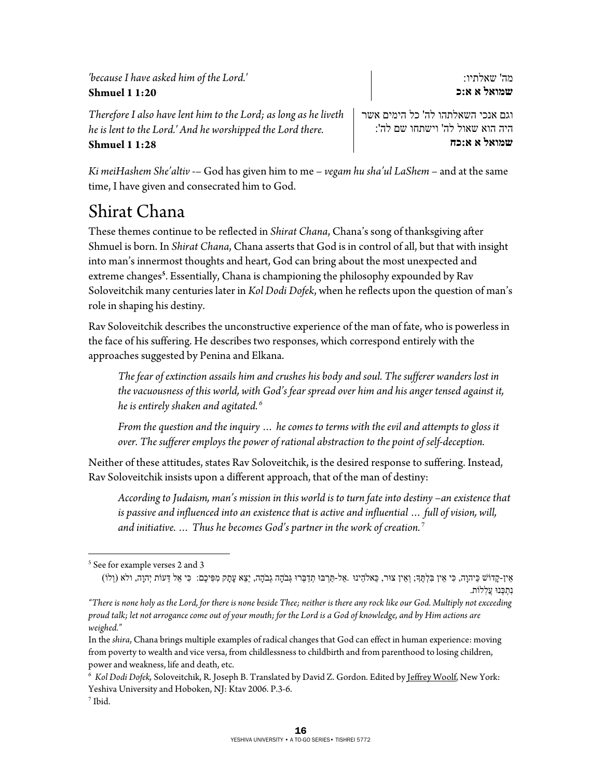*'because I have asked him of the Lord.'*  **Shmuel 1 1:20**

*Therefore I also have lent him to the Lord; as long as he liveth he is lent to the Lord.' And he worshipped the Lord there.*  **Shmuel 1 1:28**

וגם אנכי השאלתהו לה' כל הימים אשר היה הוא שאול לה' וישתחו שם לה': **שמואל א א:כח** 

המ ' שאלתיו: **שמואל א א:כ** 

*Ki meiHashem She'altiv* -– God has given him to me – *vegam hu sha'ul LaShem* – and at the same time, I have given and consecrated him to God.

### Shirat Chana

These themes continue to be reflected in *Shirat Chana*, Chana's song of thanksgiving after Shmuel is born. In *Shirat Chana*, Chana asserts that God is in control of all, but that with insight into man's innermost thoughts and heart, God can bring about the most unexpected and extreme changes**<sup>5</sup>** . Essentially, Chana is championing the philosophy expounded by Rav Soloveitchik many centuries later in *Kol Dodi Dofek*, when he reflects upon the question of man's role in shaping his destiny.

Rav Soloveitchik describes the unconstructive experience of the man of fate, who is powerless in the face of his suffering. He describes two responses, which correspond entirely with the approaches suggested by Penina and Elkana.

*The fear of extinction assails him and crushes his body and soul. The sufferer wanders lost in the vacuousness of this world, with God's fear spread over him and his anger tensed against it, he is entirely shaken and agitated. <sup>6</sup>*

*From the question and the inquiry … he comes to terms with the evil and attempts to gloss it over. The sufferer employs the power of rational abstraction to the point of self-deception.* 

Neither of these attitudes, states Rav Soloveitchik, is the desired response to suffering. Instead, Rav Soloveitchik insists upon a different approach, that of the man of destiny:

*According to Judaism, man's mission in this world is to turn fate into destiny –an existence that is passive and influenced into an existence that is active and influential … full of vision, will, and initiative. … Thus he becomes God's partner in the work of creation.*<sup>7</sup>

(וְלוֹ) אֵין-קָדוֹשׁ כַּיהוָה, כִּי אֵין בִּלְתֶּךָ; וְאֵין צוּר, כֵּאלֹהֵינוּ .אַל-תַּרְבּוּ תְדַבְּרוּ גְּבֹהֶה גְבֹהָה, יֵצֵא עָתָק מִפִּיכֶם: כִּי אֵל דֵּעוֹת יְהוָה, ולא (וְלוֹ) נִתְכָּנוּ עֲלְלוֹת.

*"There is none holy as the Lord, for there is none beside Thee; neither is there any rock like our God. Multiply not exceeding proud talk; let not arrogance come out of your mouth; for the Lord is a God of knowledge, and by Him actions are weighed."* 

 $\overline{a}$ 5 See for example verses 2 and 3

In the *shira*, Chana brings multiple examples of radical changes that God can effect in human experience: moving from poverty to wealth and vice versa, from childlessness to childbirth and from parenthood to losing children, power and weakness, life and death, etc.

<sup>6</sup> *Kol Dodi Dofek,* Soloveitchik, R. Joseph B. Translated by David Z. Gordon. Edited by Jeffrey Woolf, New York: Yeshiva University and Hoboken, NJ: Ktav 2006. P.3-6. 7  $<sup>7</sup>$  Ibid.</sup>